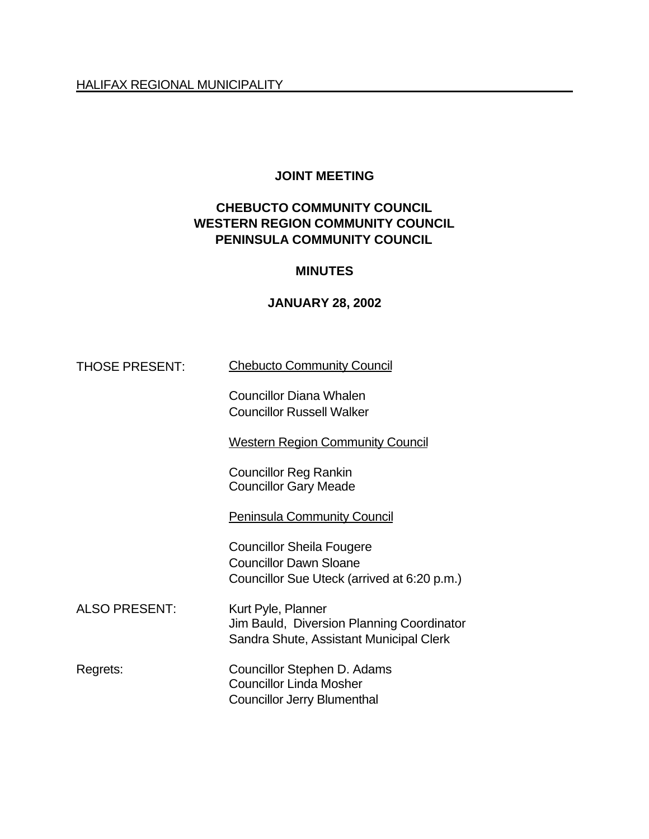### **JOINT MEETING**

## **CHEBUCTO COMMUNITY COUNCIL WESTERN REGION COMMUNITY COUNCIL PENINSULA COMMUNITY COUNCIL**

#### **MINUTES**

#### **JANUARY 28, 2002**

THOSE PRESENT: Chebucto Community Council

Councillor Diana Whalen Councillor Russell Walker

Western Region Community Council

Councillor Reg Rankin Councillor Gary Meade

Peninsula Community Council

Councillor Sheila Fougere Councillor Dawn Sloane Councillor Sue Uteck (arrived at 6:20 p.m.)

ALSO PRESENT: Kurt Pyle, Planner Jim Bauld, Diversion Planning Coordinator Sandra Shute, Assistant Municipal Clerk

Regrets: Councillor Stephen D. Adams Councillor Linda Mosher Councillor Jerry Blumenthal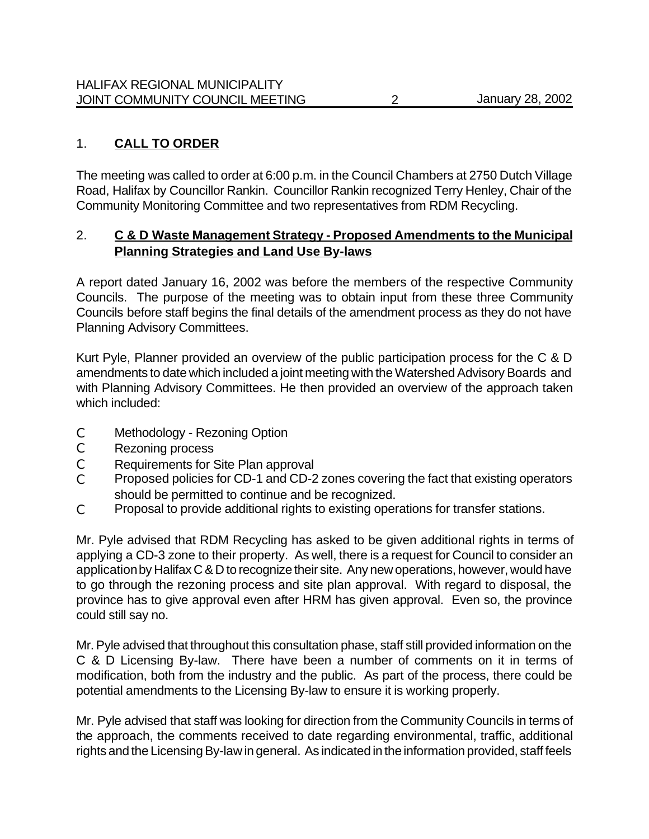# 1. **CALL TO ORDER**

The meeting was called to order at 6:00 p.m. in the Council Chambers at 2750 Dutch Village Road, Halifax by Councillor Rankin. Councillor Rankin recognized Terry Henley, Chair of the Community Monitoring Committee and two representatives from RDM Recycling.

## 2. **C & D Waste Management Strategy - Proposed Amendments to the Municipal Planning Strategies and Land Use By-laws**

A report dated January 16, 2002 was before the members of the respective Community Councils. The purpose of the meeting was to obtain input from these three Community Councils before staff begins the final details of the amendment process as they do not have Planning Advisory Committees.

Kurt Pyle, Planner provided an overview of the public participation process for the C & D amendments to date which included a joint meeting with the Watershed Advisory Boards and with Planning Advisory Committees. He then provided an overview of the approach taken which included:

- C Methodology Rezoning Option
- C Rezoning process
- C Requirements for Site Plan approval
- C Proposed policies for CD-1 and CD-2 zones covering the fact that existing operators should be permitted to continue and be recognized.
- C Proposal to provide additional rights to existing operations for transfer stations.

Mr. Pyle advised that RDM Recycling has asked to be given additional rights in terms of applying a CD-3 zone to their property. As well, there is a request for Council to consider an application by Halifax C & D to recognize their site. Any new operations, however, would have to go through the rezoning process and site plan approval. With regard to disposal, the province has to give approval even after HRM has given approval. Even so, the province could still say no.

Mr. Pyle advised that throughout this consultation phase, staff still provided information on the C & D Licensing By-law. There have been a number of comments on it in terms of modification, both from the industry and the public. As part of the process, there could be potential amendments to the Licensing By-law to ensure it is working properly.

Mr. Pyle advised that staff was looking for direction from the Community Councils in terms of the approach, the comments received to date regarding environmental, traffic, additional rights and the Licensing By-law in general. As indicated in the information provided, staff feels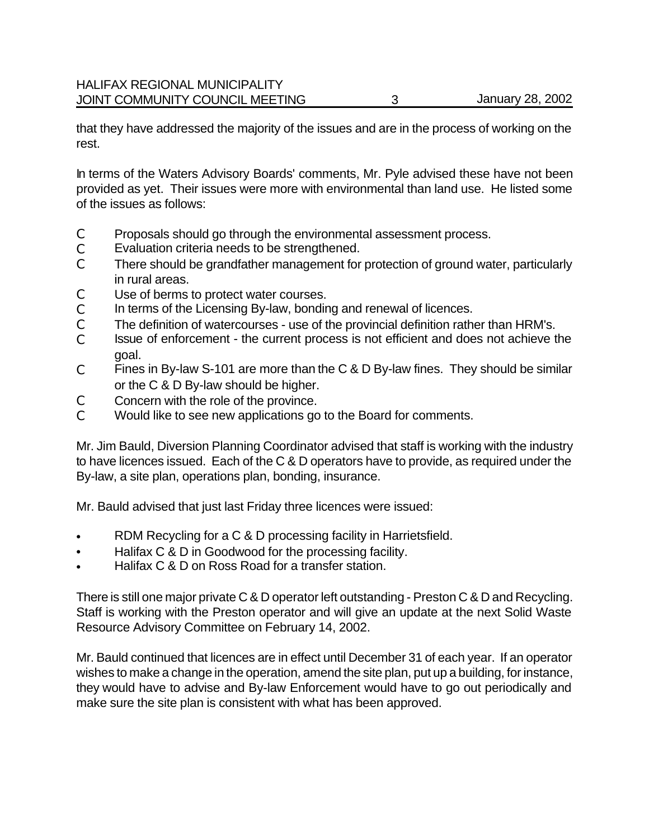that they have addressed the majority of the issues and are in the process of working on the rest.

In terms of the Waters Advisory Boards' comments, Mr. Pyle advised these have not been provided as yet. Their issues were more with environmental than land use. He listed some of the issues as follows:

- C Proposals should go through the environmental assessment process.
- C Evaluation criteria needs to be strengthened.
- C There should be grandfather management for protection of ground water, particularly in rural areas.
- C Use of berms to protect water courses.
- C In terms of the Licensing By-law, bonding and renewal of licences.
- C The definition of watercourses use of the provincial definition rather than HRM's.
- C Issue of enforcement the current process is not efficient and does not achieve the goal.
- C Fines in By-law S-101 are more than the C & D By-law fines. They should be similar or the C & D By-law should be higher.
- C Concern with the role of the province.
- C Would like to see new applications go to the Board for comments.

Mr. Jim Bauld, Diversion Planning Coordinator advised that staff is working with the industry to have licences issued. Each of the C & D operators have to provide, as required under the By-law, a site plan, operations plan, bonding, insurance.

Mr. Bauld advised that just last Friday three licences were issued:

- RDM Recycling for a C & D processing facility in Harrietsfield.
- Halifax C & D in Goodwood for the processing facility.
- Halifax C & D on Ross Road for a transfer station.

There is still one major private C & D operator left outstanding - Preston C & D and Recycling. Staff is working with the Preston operator and will give an update at the next Solid Waste Resource Advisory Committee on February 14, 2002.

Mr. Bauld continued that licences are in effect until December 31 of each year. If an operator wishes to make a change in the operation, amend the site plan, put up a building, for instance, they would have to advise and By-law Enforcement would have to go out periodically and make sure the site plan is consistent with what has been approved.